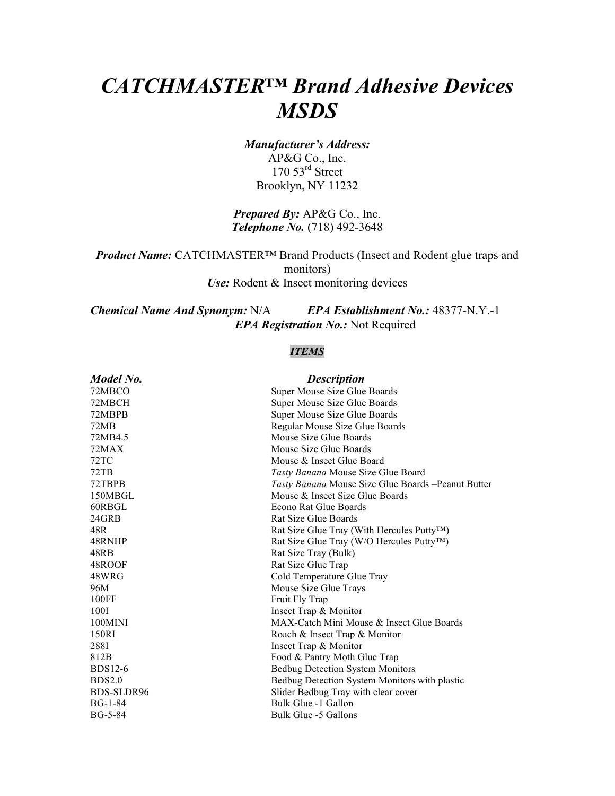# *CATCHMASTER™ Brand Adhesive Devices MSDS*

*Manufacturer's Address:* AP&G Co., Inc.  $170\,53$ <sup>rd</sup> Street Brooklyn, NY 11232

## *Prepared By:* AP&G Co., Inc. *Telephone No.* (718) 492-3648

*Product Name:* CATCHMASTER™ Brand Products (Insect and Rodent glue traps and monitors) *Use:* Rodent & Insect monitoring devices

*Chemical Name And Synonym:* N/A *EPA Establishment No.:* 48377-N.Y.-1 *EPA Registration No.:* Not Required

## *ITEMS*

### *Model No. Description*

|                | - --- <i>---</i> ----                                      |
|----------------|------------------------------------------------------------|
| 72MBCO         | Super Mouse Size Glue Boards                               |
| 72MBCH         | Super Mouse Size Glue Boards                               |
| 72MBPB         | Super Mouse Size Glue Boards                               |
| 72MB           | Regular Mouse Size Glue Boards                             |
| 72MB4.5        | Mouse Size Glue Boards                                     |
| 72MAX          | Mouse Size Glue Boards                                     |
| 72TC           | Mouse & Insect Glue Board                                  |
| 72TB           | Tasty Banana Mouse Size Glue Board                         |
| 72TBPB         | <i>Tasty Banana</i> Mouse Size Glue Boards – Peanut Butter |
| 150MBGL        | Mouse & Insect Size Glue Boards                            |
| 60RBGL         | Econo Rat Glue Boards                                      |
| 24GRB          | Rat Size Glue Boards                                       |
| 48R            | Rat Size Glue Tray (With Hercules Putty™)                  |
| 48RNHP         | Rat Size Glue Tray (W/O Hercules Putty™)                   |
| 48RB           | Rat Size Tray (Bulk)                                       |
| 48ROOF         | Rat Size Glue Trap                                         |
| 48WRG          | Cold Temperature Glue Tray                                 |
| 96M            | Mouse Size Glue Trays                                      |
| 100FF          | Fruit Fly Trap                                             |
| 100I           | Insect Trap & Monitor                                      |
| 100MINI        | MAX-Catch Mini Mouse & Insect Glue Boards                  |
| 150RI          | Roach & Insect Trap & Monitor                              |
| 288I           | Insect Trap & Monitor                                      |
| 812B           | Food & Pantry Moth Glue Trap                               |
| <b>BDS12-6</b> | <b>Bedbug Detection System Monitors</b>                    |
| BDS2.0         | Bedbug Detection System Monitors with plastic              |
| BDS-SLDR96     | Slider Bedbug Tray with clear cover                        |
| $BG-1-84$      | Bulk Glue -1 Gallon                                        |
| $BG-5-84$      | Bulk Glue -5 Gallons                                       |
|                |                                                            |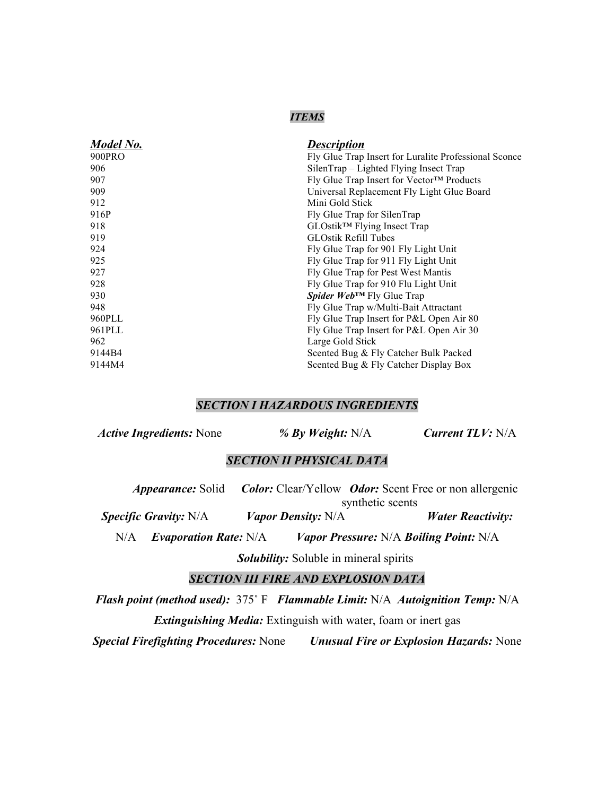#### *ITEMS*

| <b>Description</b>                                    |  |  |
|-------------------------------------------------------|--|--|
| Fly Glue Trap Insert for Luralite Professional Sconce |  |  |
| SilenTrap – Lighted Flying Insect Trap                |  |  |
| Fly Glue Trap Insert for Vector™ Products             |  |  |
| Universal Replacement Fly Light Glue Board            |  |  |
| Mini Gold Stick                                       |  |  |
| Fly Glue Trap for SilenTrap                           |  |  |
| GLOstik <sup>™</sup> Flying Insect Trap               |  |  |
| <b>GLOstik Refill Tubes</b>                           |  |  |
| Fly Glue Trap for 901 Fly Light Unit                  |  |  |
| Fly Glue Trap for 911 Fly Light Unit                  |  |  |
| Fly Glue Trap for Pest West Mantis                    |  |  |
| Fly Glue Trap for 910 Flu Light Unit                  |  |  |
| Spider Web™ Fly Glue Trap                             |  |  |
| Fly Glue Trap w/Multi-Bait Attractant                 |  |  |
| Fly Glue Trap Insert for P&L Open Air 80              |  |  |
| Fly Glue Trap Insert for P&L Open Air 30              |  |  |
| Large Gold Stick                                      |  |  |
| Scented Bug & Fly Catcher Bulk Packed                 |  |  |
| Scented Bug & Fly Catcher Display Box                 |  |  |
|                                                       |  |  |

## *SECTION I HAZARDOUS INGREDIENTS*

| <b>Current TLV: N/A</b><br>% By Weight: $N/A$ |
|-----------------------------------------------|
|                                               |

## *SECTION II PHYSICAL DATA*

| <i>Appearance:</i> Solid     |                              |                           |                                               | <b>Color:</b> Clear/Yellow <i>Odor:</i> Scent Free or non allergenic |
|------------------------------|------------------------------|---------------------------|-----------------------------------------------|----------------------------------------------------------------------|
|                              | synthetic scents             |                           |                                               |                                                                      |
| <b>Specific Gravity: N/A</b> |                              | <i>Vapor Density:</i> N/A |                                               | <b><i>Water Reactivity:</i></b>                                      |
| N/A                          | <b>Evaporation Rate: N/A</b> |                           | <i>Vapor Pressure: N/A Boiling Point: N/A</i> |                                                                      |

*Solubility:* Soluble in mineral spirits

*SECTION III FIRE AND EXPLOSION DATA*

*Flash point (method used):* 375˚ F *Flammable Limit:* N/A *Autoignition Temp:* N/A *Extinguishing Media:* Extinguish with water, foam or inert gas

*Special Firefighting Procedures:* None *Unusual Fire or Explosion Hazards:* None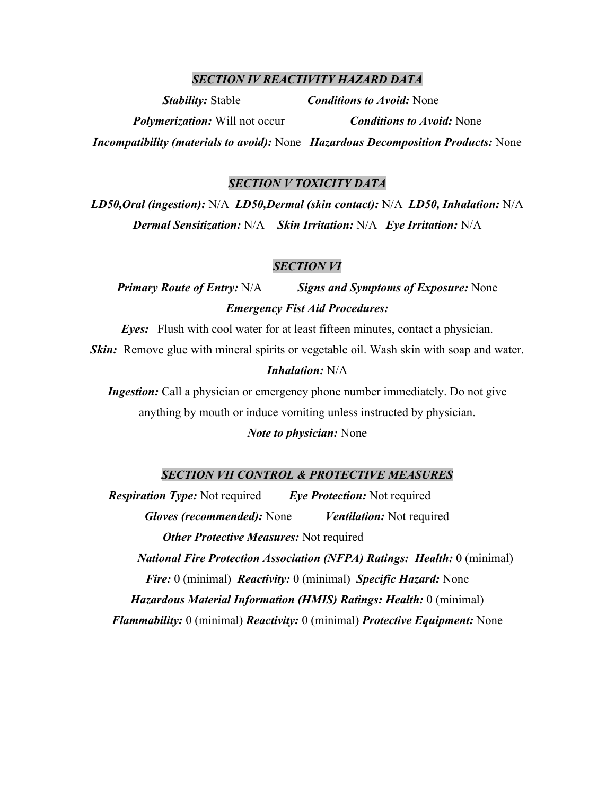#### *SECTION IV REACTIVITY HAZARD DATA*

*Stability:* Stable *Conditions to Avoid:* None *Polymerization:* Will not occur *Conditions to Avoid:* None *Incompatibility (materials to avoid):* None *Hazardous Decomposition Products:* None

#### *SECTION V TOXICITY DATA*

*LD50,Oral (ingestion):* N/A *LD50,Dermal (skin contact):* N/A *LD50, Inhalation:* N/A *Dermal Sensitization:* N/A *Skin Irritation:* N/A *Eye Irritation:* N/A

#### *SECTION VI*

*Primary Route of Entry:* N/A *Signs and Symptoms of Exposure:* None *Emergency Fist Aid Procedures:*

*Eyes:* Flush with cool water for at least fifteen minutes, contact a physician. *Skin:* Remove glue with mineral spirits or vegetable oil. Wash skin with soap and water.

#### *Inhalation:* N/A

*Ingestion:* Call a physician or emergency phone number immediately. Do not give anything by mouth or induce vomiting unless instructed by physician.

#### *Note to physician:* None

#### *SECTION VII CONTROL & PROTECTIVE MEASURES*

*Respiration Type:* Not required *Eye Protection:* Not required *Gloves (recommended):* None *Ventilation:* Not required *Other Protective Measures:* Not required *National Fire Protection Association (NFPA) Ratings: Health:* 0 (minimal) *Fire:* 0 (minimal) *Reactivity:* 0 (minimal) *Specific Hazard:* None *Hazardous Material Information (HMIS) Ratings: Health:* 0 (minimal) *Flammability:* 0 (minimal) *Reactivity:* 0 (minimal) *Protective Equipment:* None